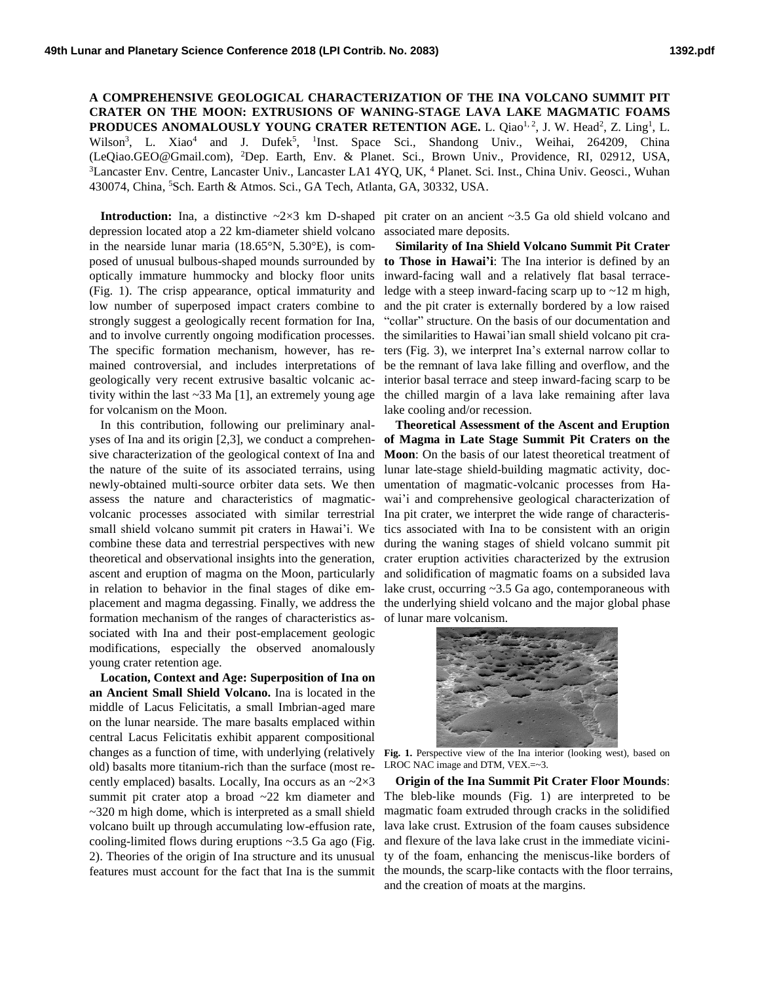**A COMPREHENSIVE GEOLOGICAL CHARACTERIZATION OF THE INA VOLCANO SUMMIT PIT CRATER ON THE MOON: EXTRUSIONS OF WANING-STAGE LAVA LAKE MAGMATIC FOAMS PRODUCES ANOMALOUSLY YOUNG CRATER RETENTION AGE.** L. Qiao<sup>1, 2</sup>, J. W. Head<sup>2</sup>, Z. Ling<sup>1</sup>, L. Wilson<sup>3</sup>, L. Xiao<sup>4</sup> and J. Dufek<sup>5</sup>, <sup>1</sup>Inst. Space Sci., Shandong Univ., Weihai, 264209, China (LeQiao.GEO@Gmail.com), <sup>2</sup>Dep. Earth, Env. & Planet. Sci., Brown Univ., Providence, RI, 02912, USA, <sup>3</sup>Lancaster Env. Centre, Lancaster Univ., Lancaster LA1 4YQ, UK, <sup>4</sup> Planet. Sci. Inst., China Univ. Geosci., Wuhan 430074, China, <sup>5</sup>Sch. Earth & Atmos. Sci., GA Tech, Atlanta, GA, 30332, USA.

depression located atop a 22 km-diameter shield volcano in the nearside lunar maria (18.65°N, 5.30°E), is composed of unusual bulbous-shaped mounds surrounded by optically immature hummocky and blocky floor units (Fig. 1). The crisp appearance, optical immaturity and low number of superposed impact craters combine to strongly suggest a geologically recent formation for Ina, and to involve currently ongoing modification processes. The specific formation mechanism, however, has remained controversial, and includes interpretations of geologically very recent extrusive basaltic volcanic activity within the last ~33 Ma [1], an extremely young age for volcanism on the Moon.

In this contribution, following our preliminary analyses of Ina and its origin [2,3], we conduct a comprehensive characterization of the geological context of Ina and the nature of the suite of its associated terrains, using newly-obtained multi-source orbiter data sets. We then assess the nature and characteristics of magmaticvolcanic processes associated with similar terrestrial small shield volcano summit pit craters in Hawai'i. We combine these data and terrestrial perspectives with new theoretical and observational insights into the generation, ascent and eruption of magma on the Moon, particularly in relation to behavior in the final stages of dike emformation mechanism of the ranges of characteristics associated with Ina and their post-emplacement geologic modifications, especially the observed anomalously young crater retention age.

**Location, Context and Age: Superposition of Ina on an Ancient Small Shield Volcano.** Ina is located in the middle of Lacus Felicitatis, a small Imbrian-aged mare on the lunar nearside. The mare basalts emplaced within central Lacus Felicitatis exhibit apparent compositional changes as a function of time, with underlying (relatively old) basalts more titanium-rich than the surface (most recently emplaced) basalts. Locally, Ina occurs as an  $\sim 2 \times 3$ summit pit crater atop a broad ~22 km diameter and  $\sim$ 320 m high dome, which is interpreted as a small shield volcano built up through accumulating low-effusion rate, cooling-limited flows during eruptions  $\sim$ 3.5 Ga ago (Fig. 2). Theories of the origin of Ina structure and its unusual features must account for the fact that Ina is the summit

**Introduction:** Ina, a distinctive  $\sim 2 \times 3$  km D-shaped pit crater on an ancient  $\sim 3.5$  Ga old shield volcano and associated mare deposits.

> **Similarity of Ina Shield Volcano Summit Pit Crater to Those in Hawai'i**: The Ina interior is defined by an inward-facing wall and a relatively flat basal terraceledge with a steep inward-facing scarp up to  $\sim$ 12 m high, and the pit crater is externally bordered by a low raised "collar" structure. On the basis of our documentation and the similarities to Hawai'ian small shield volcano pit craters (Fig. 3), we interpret Ina's external narrow collar to be the remnant of lava lake filling and overflow, and the interior basal terrace and steep inward-facing scarp to be the chilled margin of a lava lake remaining after lava lake cooling and/or recession.

placement and magma degassing. Finally, we address the the underlying shield volcano and the major global phase **Theoretical Assessment of the Ascent and Eruption of Magma in Late Stage Summit Pit Craters on the Moon**: On the basis of our latest theoretical treatment of lunar late-stage shield-building magmatic activity, documentation of magmatic-volcanic processes from Hawai'i and comprehensive geological characterization of Ina pit crater, we interpret the wide range of characteristics associated with Ina to be consistent with an origin during the waning stages of shield volcano summit pit crater eruption activities characterized by the extrusion and solidification of magmatic foams on a subsided lava lake crust, occurring ~3.5 Ga ago, contemporaneous with of lunar mare volcanism.



**Fig. 1.** Perspective view of the Ina interior (looking west), based on LROC NAC image and DTM, VEX.=~3.

**Origin of the Ina Summit Pit Crater Floor Mounds**: The bleb-like mounds (Fig. 1) are interpreted to be magmatic foam extruded through cracks in the solidified lava lake crust. Extrusion of the foam causes subsidence and flexure of the lava lake crust in the immediate vicinity of the foam, enhancing the meniscus-like borders of the mounds, the scarp-like contacts with the floor terrains, and the creation of moats at the margins.